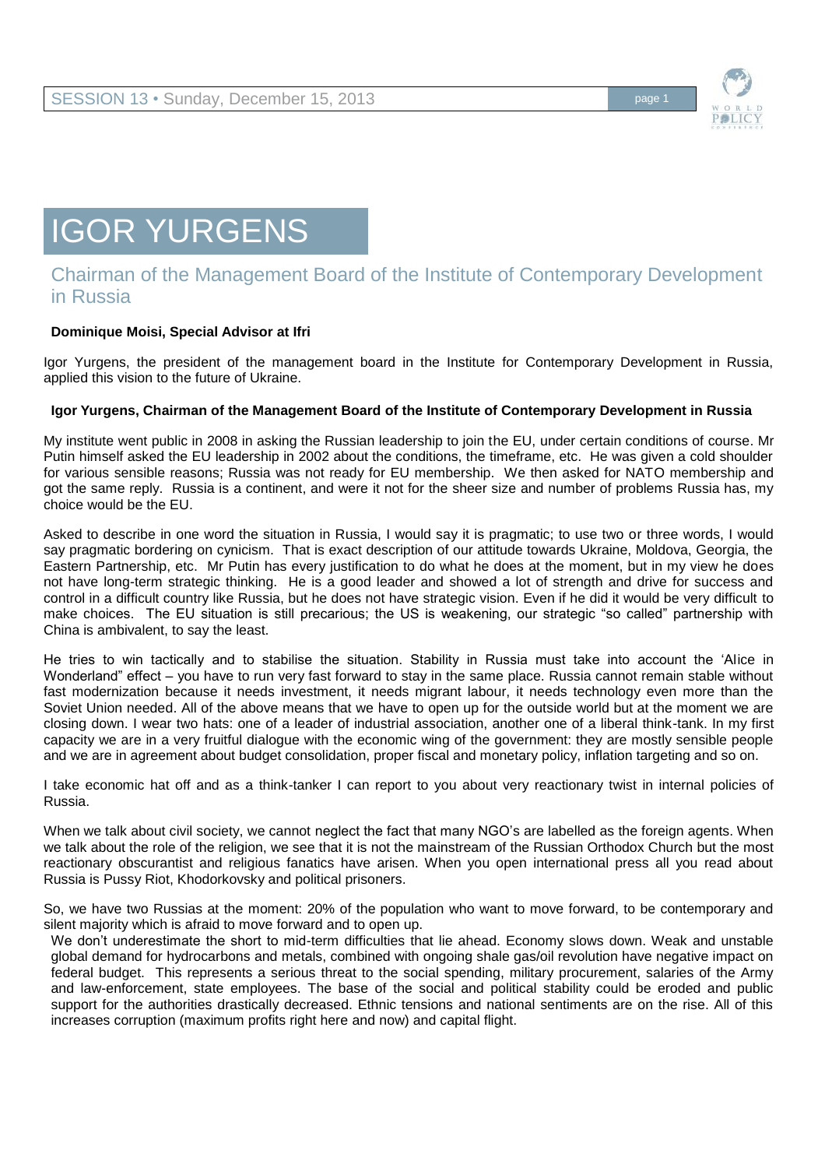

## IGOR YURGENS

## Chairman of the Management Board of the Institute of Contemporary Development in Russia

## **Dominique Moisi, Special Advisor at Ifri**

Igor Yurgens, the president of the management board in the Institute for Contemporary Development in Russia, applied this vision to the future of Ukraine.

## **Igor Yurgens, Chairman of the Management Board of the Institute of Contemporary Development in Russia**

My institute went public in 2008 in asking the Russian leadership to join the EU, under certain conditions of course. Mr Putin himself asked the EU leadership in 2002 about the conditions, the timeframe, etc. He was given a cold shoulder for various sensible reasons; Russia was not ready for EU membership. We then asked for NATO membership and got the same reply. Russia is a continent, and were it not for the sheer size and number of problems Russia has, my choice would be the EU.

Asked to describe in one word the situation in Russia, I would say it is pragmatic; to use two or three words, I would say pragmatic bordering on cynicism. That is exact description of our attitude towards Ukraine, Moldova, Georgia, the Eastern Partnership, etc. Mr Putin has every justification to do what he does at the moment, but in my view he does not have long-term strategic thinking. He is a good leader and showed a lot of strength and drive for success and control in a difficult country like Russia, but he does not have strategic vision. Even if he did it would be very difficult to make choices. The EU situation is still precarious; the US is weakening, our strategic "so called" partnership with China is ambivalent, to say the least.

He tries to win tactically and to stabilise the situation. Stability in Russia must take into account the 'Alice in Wonderland" effect – you have to run very fast forward to stay in the same place. Russia cannot remain stable without fast modernization because it needs investment, it needs migrant labour, it needs technology even more than the Soviet Union needed. All of the above means that we have to open up for the outside world but at the moment we are closing down. I wear two hats: one of a leader of industrial association, another one of a liberal think-tank. In my first capacity we are in a very fruitful dialogue with the economic wing of the government: they are mostly sensible people and we are in agreement about budget consolidation, proper fiscal and monetary policy, inflation targeting and so on.

I take economic hat off and as a think-tanker I can report to you about very reactionary twist in internal policies of Russia.

When we talk about civil society, we cannot neglect the fact that many NGO's are labelled as the foreign agents. When we talk about the role of the religion, we see that it is not the mainstream of the Russian Orthodox Church but the most reactionary obscurantist and religious fanatics have arisen. When you open international press all you read about Russia is Pussy Riot, Khodorkovsky and political prisoners.

So, we have two Russias at the moment: 20% of the population who want to move forward, to be contemporary and silent majority which is afraid to move forward and to open up.

We don't underestimate the short to mid-term difficulties that lie ahead. Economy slows down. Weak and unstable global demand for hydrocarbons and metals, combined with ongoing shale gas/oil revolution have negative impact on federal budget. This represents a serious threat to the social spending, military procurement, salaries of the Army and law-enforcement, state employees. The base of the social and political stability could be eroded and public support for the authorities drastically decreased. Ethnic tensions and national sentiments are on the rise. All of this increases corruption (maximum profits right here and now) and capital flight.